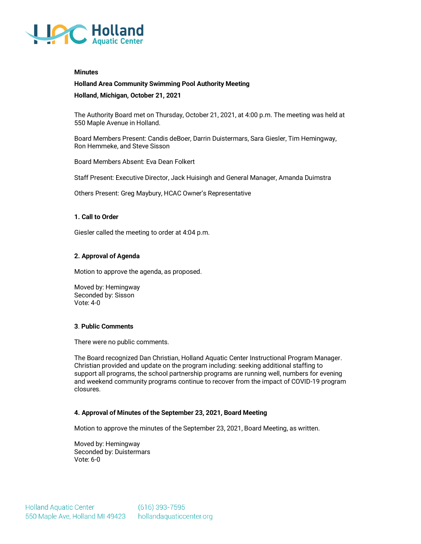

#### **Minutes**

# **Holland Area Community Swimming Pool Authority Meeting**

**Holland, Michigan, October 21, 2021**

The Authority Board met on Thursday, October 21, 2021, at 4:00 p.m. The meeting was held at 550 Maple Avenue in Holland.

Board Members Present: Candis deBoer, Darrin Duistermars, Sara Giesler, Tim Hemingway, Ron Hemmeke, and Steve Sisson

Board Members Absent: Eva Dean Folkert

Staff Present: Executive Director, Jack Huisingh and General Manager, Amanda Duimstra

Others Present: Greg Maybury, HCAC Owner's Representative

### **1. Call to Order**

Giesler called the meeting to order at 4:04 p.m.

## **2. Approval of Agenda**

Motion to approve the agenda, as proposed.

Moved by: Hemingway Seconded by: Sisson Vote: 4-0

## **3**. **Public Comments**

There were no public comments.

The Board recognized Dan Christian, Holland Aquatic Center Instructional Program Manager. Christian provided and update on the program including: seeking additional staffing to support all programs, the school partnership programs are running well, numbers for evening and weekend community programs continue to recover from the impact of COVID-19 program closures.

## **4. Approval of Minutes of the September 23, 2021, Board Meeting**

Motion to approve the minutes of the September 23, 2021, Board Meeting, as written.

Moved by: Hemingway Seconded by: Duistermars Vote: 6-0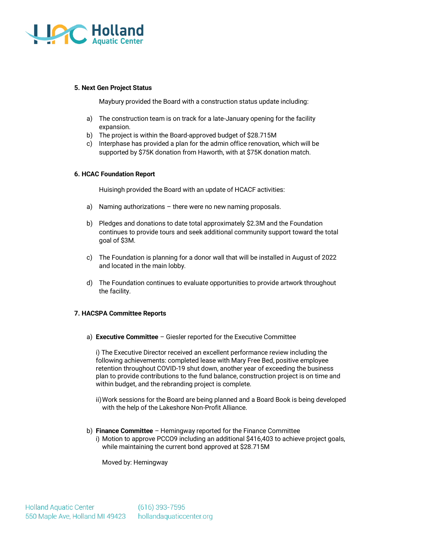

### **5. Next Gen Project Status**

Maybury provided the Board with a construction status update including:

- a) The construction team is on track for a late-January opening for the facility expansion.
- b) The project is within the Board-approved budget of \$28.715M
- c) Interphase has provided a plan for the admin office renovation, which will be supported by \$75K donation from Haworth, with at \$75K donation match.

### **6. HCAC Foundation Report**

Huisingh provided the Board with an update of HCACF activities:

- a) Naming authorizations there were no new naming proposals.
- b) Pledges and donations to date total approximately \$2.3M and the Foundation continues to provide tours and seek additional community support toward the total goal of \$3M.
- c) The Foundation is planning for a donor wall that will be installed in August of 2022 and located in the main lobby.
- d) The Foundation continues to evaluate opportunities to provide artwork throughout the facility.

## **7. HACSPA Committee Reports**

a) **Executive Committee** – Giesler reported for the Executive Committee

i) The Executive Director received an excellent performance review including the following achievements: completed lease with Mary Free Bed, positive employee retention throughout COVID-19 shut down, another year of exceeding the business plan to provide contributions to the fund balance, construction project is on time and within budget, and the rebranding project is complete.

- ii)Work sessions for the Board are being planned and a Board Book is being developed with the help of the Lakeshore Non-Profit Alliance.
- b) **Finance Committee** Hemingway reported for the Finance Committee i) Motion to approve PCCO9 including an additional \$416,403 to achieve project goals, while maintaining the current bond approved at \$28.715M

Moved by: Hemingway